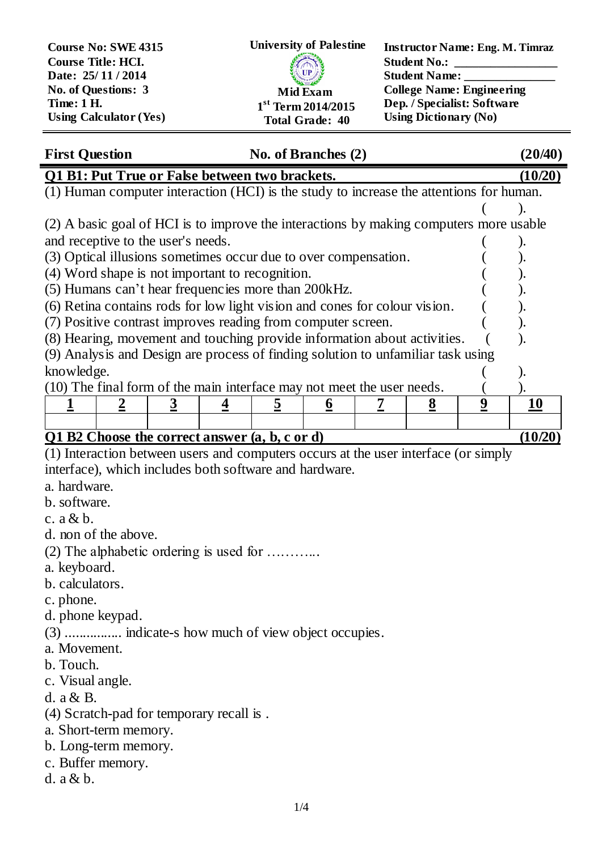| <b>Course No: SWE 4315</b><br><b>Course Title: HCI.</b> | <b>University of Palestine</b> | <b>Instructor Name: Eng. M. Timraz</b><br><b>Student No.:</b> |
|---------------------------------------------------------|--------------------------------|---------------------------------------------------------------|
| Date: 25/11/2014                                        | <b>El UP</b>                   | <b>Student Name:</b>                                          |
| No. of Questions: 3                                     | <b>Mid Exam</b>                | <b>College Name: Engineering</b>                              |
| <b>Time: 1 H.</b>                                       | $1st$ Term 2014/2015           | Dep. / Specialist: Software                                   |
| <b>Using Calculator (Yes)</b>                           | <b>Total Grade: 40</b>         | <b>Using Dictionary (No)</b>                                  |

| <b>First Question</b>                                                                   |                                                                                        |  |  | No. of Branches (2) |  |          |   | (20/40) |
|-----------------------------------------------------------------------------------------|----------------------------------------------------------------------------------------|--|--|---------------------|--|----------|---|---------|
| Q1 B1: Put True or False between two brackets.                                          |                                                                                        |  |  |                     |  | (10/20)  |   |         |
| (1) Human computer interaction (HCI) is the study to increase the attentions for human. |                                                                                        |  |  |                     |  |          |   |         |
|                                                                                         |                                                                                        |  |  |                     |  |          |   |         |
|                                                                                         | (2) A basic goal of HCI is to improve the interactions by making computers more usable |  |  |                     |  |          |   |         |
| and receptive to the user's needs.                                                      |                                                                                        |  |  |                     |  |          |   |         |
| (3) Optical illusions sometimes occur due to over compensation.                         |                                                                                        |  |  |                     |  |          |   |         |
| (4) Word shape is not important to recognition.                                         |                                                                                        |  |  |                     |  |          |   |         |
| (5) Humans can't hear frequencies more than 200 kHz.                                    |                                                                                        |  |  |                     |  |          |   |         |
| (6) Retina contains rods for low light vision and cones for colour vision.              |                                                                                        |  |  |                     |  |          |   |         |
| (7) Positive contrast improves reading from computer screen.                            |                                                                                        |  |  |                     |  |          |   |         |
| (8) Hearing, movement and touching provide information about activities.                |                                                                                        |  |  |                     |  |          |   |         |
| (9) Analysis and Design are process of finding solution to unfamiliar task using        |                                                                                        |  |  |                     |  |          |   |         |
| knowledge.                                                                              |                                                                                        |  |  |                     |  |          |   |         |
| (10) The final form of the main interface may not meet the user needs.                  |                                                                                        |  |  |                     |  |          |   |         |
|                                                                                         |                                                                                        |  |  | o                   |  | <u>8</u> | 9 | 10      |
|                                                                                         |                                                                                        |  |  |                     |  |          |   |         |
| B2 Choose the correct answer (a, b, c or d)                                             |                                                                                        |  |  |                     |  |          |   |         |

(1) Interaction between users and computers occurs at the user interface (or simply interface), which includes both software and hardware.

a. hardware.

b. software.

c. a & b.

- d. non of the above.
- (2) The alphabetic ordering is used for ………...
- a. keyboard.
- b. calculators.

c. phone.

d. phone keypad.

(3) ................ indicate-s how much of view object occupies.

a. Movement.

- b. Touch.
- c. Visual angle.

d. a & B.

(4) Scratch-pad for temporary recall is .

a. Short-term memory.

b. Long-term memory.

- c. Buffer memory.
- d. a & b.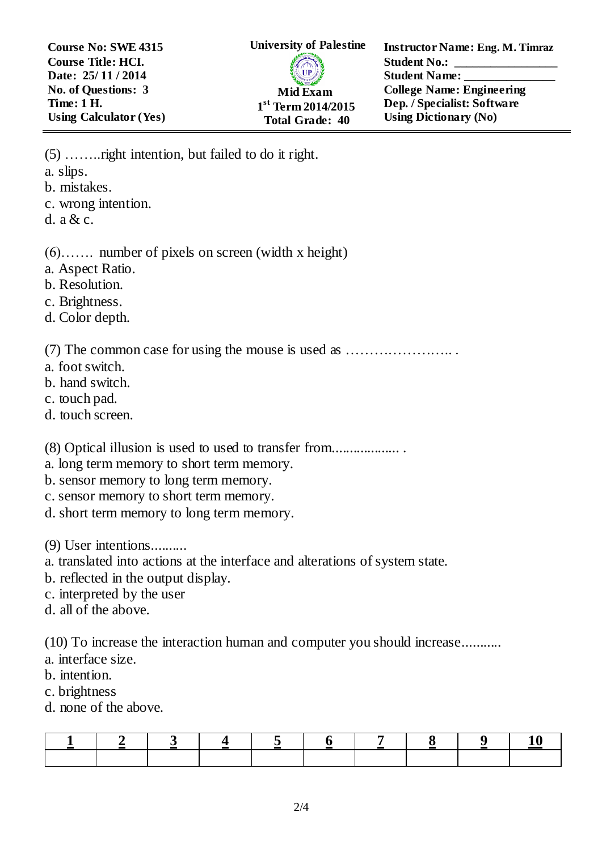**Course No: SWE 4315 Course Title: HCI. Date: 25/ 11 / 2014 No. of Questions: 3 Time: 1 H. Using Calculator (Yes)** **Instructor Name: Eng. M. Timraz Student No.: Student Name: College Name: Engineering Dep. / Specialist: Software Using Dictionary (No)**

(5) ……..right intention, but failed to do it right. a. slips. b. mistakes. c. wrong intention. d. a & c.

(6)……. number of pixels on screen (width x height)

- a. Aspect Ratio.
- b. Resolution.
- c. Brightness.
- d. Color depth.

(7) The common case for using the mouse is used as ………………….. .

- a. foot switch.
- b. hand switch.
- c. touch pad.
- d. touch screen.

(8) Optical illusion is used to used to transfer from................... .

- a. long term memory to short term memory.
- b. sensor memory to long term memory.
- c. sensor memory to short term memory.
- d. short term memory to long term memory.

(9) User intentions..........

a. translated into actions at the interface and alterations of system state.

- b. reflected in the output display.
- c. interpreted by the user
- d. all of the above.

(10) To increase the interaction human and computer you should increase...........

- a. interface size.
- b. intention.
- c. brightness
- d. none of the above.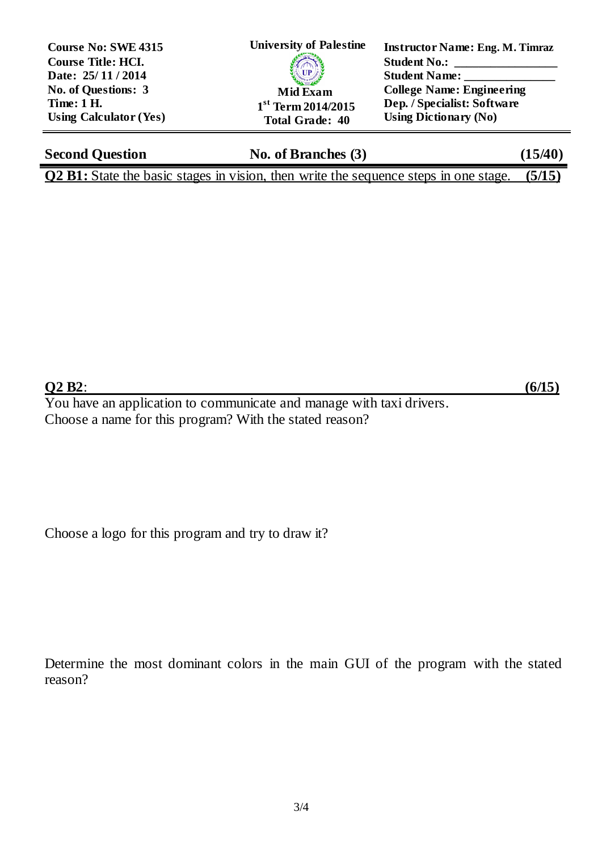| <b>Course No: SWE 4315</b><br><b>Course Title: HCI.</b> | <b>University of Palestine</b> | <b>Instructor Name: Eng. M. Timraz</b><br><b>Student No.:</b> |
|---------------------------------------------------------|--------------------------------|---------------------------------------------------------------|
| Date: 25/11/2014                                        | <b>SAMILY AND READY</b>        | <b>Student Name:</b>                                          |
| No. of Questions: 3                                     | <b>Mid Exam</b>                | <b>College Name: Engineering</b>                              |
| <b>Time: 1 H.</b>                                       | $1st$ Term 2014/2015           | Dep. / Specialist: Software                                   |
| <b>Using Calculator (Yes)</b>                           | <b>Total Grade: 40</b>         | <b>Using Dictionary (No)</b>                                  |

| <b>Second Question</b> | No. of Branches $(3)$                                                                              | (15/40) |
|------------------------|----------------------------------------------------------------------------------------------------|---------|
|                        | <b>Q2 B1:</b> State the basic stages in vision, then write the sequence steps in one stage. (5/15) |         |

## **Q2 B2**: **(6/15)**

You have an application to communicate and manage with taxi drivers. Choose a name for this program? With the stated reason?

Choose a logo for this program and try to draw it?

Determine the most dominant colors in the main GUI of the program with the stated reason?